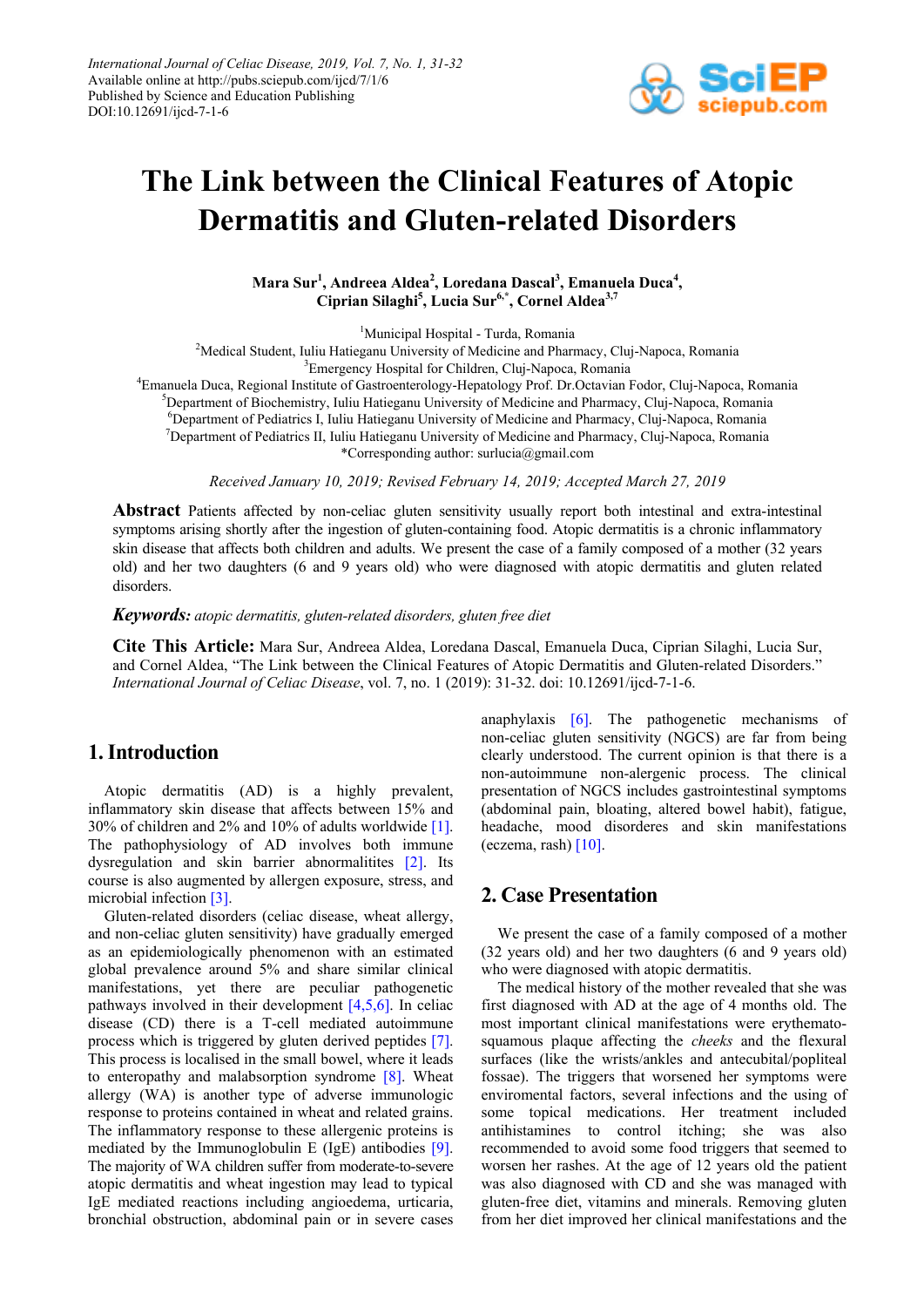

# **The Link between the Clinical Features of Atopic Dermatitis and Gluten-related Disorders**

**Mara Sur1 , Andreea Aldea<sup>2</sup> , Loredana Dascal3 , Emanuela Duca<sup>4</sup> , Ciprian Silaghi5 , Lucia Sur6,\*, Cornel Aldea3,7**

<sup>1</sup>Municipal Hospital - Turda, Romania

<sup>2</sup>Medical Student, Iuliu Hatieganu University of Medicine and Pharmacy, Cluj-Napoca, Romania <sup>3</sup> Emergency Hospital for Children, Cluj-Napoca, Romania

4 Emanuela Duca, Regional Institute of Gastroenterology-Hepatology Prof. Dr.Octavian Fodor, Cluj-Napoca, Romania 5 Department of Biochemistry, Iuliu Hatieganu University of Medicine and Pharmacy, Cluj-Napoca, Romania <sup>6</sup>Department of Pediatrics I, Iuliu Hatieganu University of Medicine and Pharmacy, Cluj-Napoca, Romania <sup>7</sup>Department of Pediatrics II, Iuliu Hatieganu University of Medicine and Pharmacy, Cluj-Napoca, Pomania <sup>7</sup>Department of Pediatrics II, Iuliu Hatieganu University of Medicine and Pharmacy, Cluj-Napoca, Romania \*Corresponding author: surlucia@gmail.com

*Received January 10, 2019; Revised February 14, 2019; Accepted March 27, 2019*

**Abstract** Patients affected by non-celiac gluten sensitivity usually report both intestinal and extra-intestinal symptoms arising shortly after the ingestion of gluten-containing food. Atopic dermatitis is a chronic inflammatory skin disease that affects both children and adults. We present the case of a family composed of a mother (32 years old) and her two daughters (6 and 9 years old) who were diagnosed with atopic dermatitis and gluten related disorders.

*Keywords: atopic dermatitis, gluten-related disorders, gluten free diet*

**Cite This Article:** Mara Sur, Andreea Aldea, Loredana Dascal, Emanuela Duca, Ciprian Silaghi, Lucia Sur, and Cornel Aldea, "The Link between the Clinical Features of Atopic Dermatitis and Gluten-related Disorders." *International Journal of Celiac Disease*, vol. 7, no. 1 (2019): 31-32. doi: 10.12691/ijcd-7-1-6.

## **1. Introduction**

Atopic dermatitis (AD) is a highly prevalent, inflammatory skin disease that affects between 15% and 30% of children and 2% and 10% of adults worldwide [\[1\].](#page-1-0) The pathophysiology of AD involves both immune dysregulation and skin barrier abnormalitites [\[2\].](#page-1-1) Its course is also augmented by allergen exposure, stress, and microbial infection [\[3\].](#page-1-2)

Gluten-related disorders (celiac disease, wheat allergy, and non-celiac gluten sensitivity) have gradually emerged as an epidemiologically phenomenon with an estimated global prevalence around 5% and share similar clinical manifestations, yet there are peculiar pathogenetic pathways involved in their development  $[4,5,6]$ . In celiac disease (CD) there is a T-cell mediated autoimmune process which is triggered by gluten derived peptides [\[7\].](#page-1-4) This process is localised in the small bowel, where it leads to enteropathy and malabsorption syndrome [\[8\].](#page-1-5) Wheat allergy (WA) is another type of adverse immunologic response to proteins contained in wheat and related grains. The inflammatory response to these allergenic proteins is mediated by the Immunoglobulin E (IgE) antibodies [\[9\].](#page-1-6) The majority of WA children suffer from moderate-to-severe atopic dermatitis and wheat ingestion may lead to typical IgE mediated reactions including angioedema, urticaria, bronchial obstruction, abdominal pain or in severe cases

anaphylaxis [\[6\].](#page-1-7) The pathogenetic mechanisms of non-celiac gluten sensitivity (NGCS) are far from being clearly understood. The current opinion is that there is a non-autoimmune non-alergenic process. The clinical presentation of NGCS includes gastrointestinal symptoms (abdominal pain, bloating, altered bowel habit), fatigue, headache, mood disorderes and skin manifestations (eczema, rash)  $[10]$ .

## **2. Case Presentation**

We present the case of a family composed of a mother (32 years old) and her two daughters (6 and 9 years old) who were diagnosed with atopic dermatitis.

The medical history of the mother revealed that she was first diagnosed with AD at the age of 4 months old. The most important clinical manifestations were erythematosquamous plaque affecting the *cheeks* and the flexural surfaces (like the wrists/ankles and antecubital/popliteal fossae). The triggers that worsened her symptoms were enviromental factors, several infections and the using of some topical medications. Her treatment included antihistamines to control itching; she was also recommended to avoid some food triggers that seemed to worsen her rashes. At the age of 12 years old the patient was also diagnosed with CD and she was managed with gluten-free diet, vitamins and minerals. Removing gluten from her diet improved her clinical manifestations and the